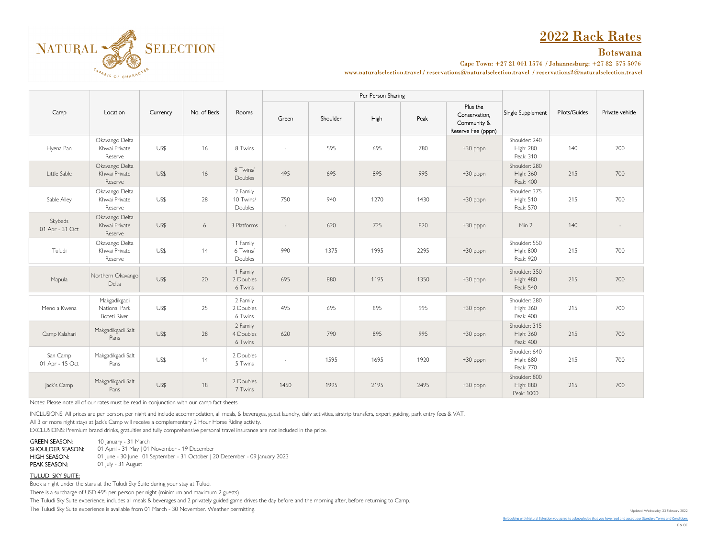# 2022 Rack Rates



Cape Town: +27 21 001 1574 / Johannesburg: +27 82 575 5076

www.naturalselection.travel/reservations@naturalselection.travel/reservations2@naturalselection.travel

|                             | Location                                             | Currency | No. of Beds | Rooms                            |        |          | Per Person Sharing |      |                                                                |                                                 |               |                 |
|-----------------------------|------------------------------------------------------|----------|-------------|----------------------------------|--------|----------|--------------------|------|----------------------------------------------------------------|-------------------------------------------------|---------------|-----------------|
| Camp                        |                                                      |          |             |                                  | Green  | Shoulder | High               | Peak | Plus the<br>Conservation,<br>Community &<br>Reserve Fee (pppn) | Single Supplement                               | Pilots/Guides | Private vehicle |
| Hyena Pan                   | Okavango Delta<br>Khwai Private<br>Reserve           | US\$     | 16          | 8 Twins                          |        | 595      | 695                | 780  | +30 pppn                                                       | Shoulder: 240<br><b>High: 280</b><br>Peak: 310  | 140           | 700             |
| Little Sable                | Okavango Delta<br>Khwai Private<br>Reserve           | US\$     | 16          | 8 Twins/<br>Doubles              | 495    | 695      | 895                | 995  | $+30$ pppn                                                     | Shoulder: 280<br><b>High: 360</b><br>Peak: 400  | 215           | 700             |
| Sable Alley                 | Okavango Delta<br>Khwai Private<br>Reserve           | US\$     | 28          | 2 Family<br>10 Twins/<br>Doubles | 750    | 940      | 1270               | 1430 | $+30$ pppn                                                     | Shoulder: 375<br><b>High: 510</b><br>Peak: 570  | 215           | 700             |
| Skybeds<br>01 Apr - 31 Oct  | Okavango Delta<br>Khwai Private<br>Reserve           | US\$     | $6\,$       | 3 Platforms                      |        | 620      | 725                | 820  | $+30$ pppn                                                     | Min 2                                           | 140           |                 |
| Tuludi                      | Okavango Delta<br>Khwai Private<br>Reserve           | US\$     | 14          | 1 Family<br>6 Twins/<br>Doubles  | 990    | 1375     | 1995               | 2295 | +30 pppn                                                       | Shoulder: 550<br><b>High: 800</b><br>Peak: 920  | 215           | 700             |
| Mapula                      | Northern Okavango<br>Delta                           | US\$     | 20          | 1 Family<br>2 Doubles<br>6 Twins | 695    | 880      | 1195               | 1350 | $+30$ pppn                                                     | Shoulder: 350<br><b>High: 480</b><br>Peak: 540  | 215           | 700             |
| Meno a Kwena                | Makgadikgadi<br>National Park<br><b>Boteti River</b> | US\$     | 25          | 2 Family<br>2 Doubles<br>6 Twins | 495    | 695      | 895                | 995  | $+30$ pppn                                                     | Shoulder: 280<br><b>High: 360</b><br>Peak: 400  | 215           | 700             |
| Camp Kalahari               | Makgadikgadi Salt<br>Pans                            | US\$     | 28          | 2 Family<br>4 Doubles<br>6 Twins | 620    | 790      | 895                | 995  | $+30$ pppn                                                     | Shoulder: 315<br><b>High: 360</b><br>Peak: 400  | 215           | 700             |
| San Camp<br>01 Apr - 15 Oct | Makgadikgadi Salt<br>Pans                            | US\$     | 14          | 2 Doubles<br>5 Twins             | $\sim$ | 1595     | 1695               | 1920 | +30 pppn                                                       | Shoulder: 640<br>High: 680<br>Peak: 770         | 215           | 700             |
| Jack's Camp                 | Makgadikgadi Salt<br>Pans                            | US\$     | 18          | 2 Doubles<br>7 Twins             | 1450   | 1995     | 2195               | 2495 | $+30$ pppn                                                     | Shoulder: 800<br><b>High: 880</b><br>Peak: 1000 | 215           | 700             |

Notes: Please note all of our rates must be read in conjunction with our camp fact sheets.

NATURAL SELECTION

SAFARIS OF CHARACTER

INCLUSIONS: All prices are per person, per night and include accommodation, all meals, & beverages, guest laundry, daily activities, airstrip transfers, expert guiding, park entry fees & VAT.

All 3 or more night stays at Jack's Camp will receive a complementary 2 Hour Horse Riding activity.

EXCLUSIONS: Premium brand drinks, gratuities and fully comprehensive personal travel insurance are not included in the price.

GREEN SEASON: 10 January - 31 March

SHOULDER SEASON: 01 April - 31 May | 01 November - 19 December HIGH SEASON: 01 June - 30 June | 01 September - 31 October | 20 December - 09 January 2023<br>PEAK SEASON: 01 July - 31 August 01 July - 31 August

TULUDI SKY SUITE:

Book a night under the stars at the Tuludi Sky Suite during your stay at Tuludi.

There is a surcharge of USD 495 per person per night (minimum and maximum 2 guests)

The Tuludi Sky Suite experience, includes all meals & beverages and 2 privately guided game drives the day before and the morning after, before returning to Camp.

The Tuludi Sky Suite experience is available from 01 March - 30 November. Weather permitting.

Updated: Wednesday, 23 February 2022